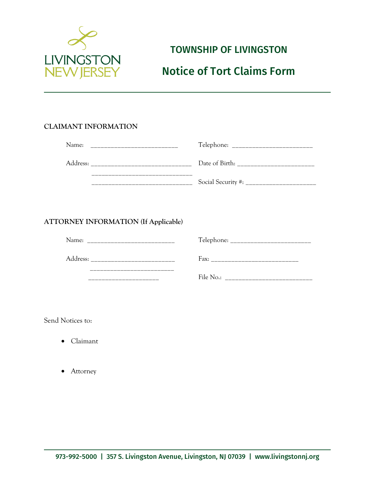

# TOWNSHIP OF LIVINGSTON

# Notice of Tort Claims Form

# **CLAIMANT INFORMATION**

| Name:    | Telephone:<br>_______________ |
|----------|-------------------------------|
| Address: | Date of Birth:                |
|          | Social Security #:            |

# **ATTORNEY INFORMATION (If Applicable)**

| Name:    | Telephone: $\frac{1}{2}$<br>_____________ |
|----------|-------------------------------------------|
| Address: | Fax:                                      |
|          | File No.:                                 |

Send Notices to:

- Claimant
- Attorney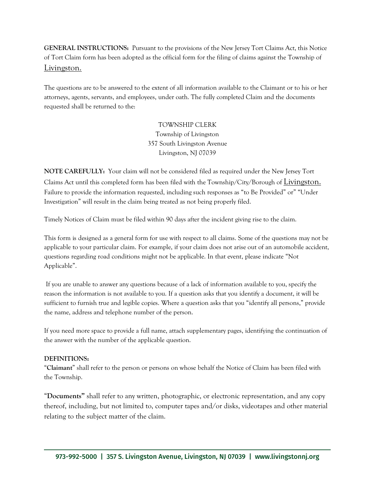**GENERAL INSTRUCTIONS:** Pursuant to the provisions of the New Jersey Tort Claims Act, this Notice of Tort Claim form has been adopted as the official form for the filing of claims against the Township of Livingston.

The questions are to be answered to the extent of all information available to the Claimant or to his or her attorneys, agents, servants, and employees, under oath. The fully completed Claim and the documents requested shall be returned to the:

> TOWNSHIP CLERK Township of Livingston 357 South Livingston Avenue Livingston, NJ 07039

**NOTE CAREFULLY:** Your claim will not be considered filed as required under the New Jersey Tort Claims Act until this completed form has been filed with the Township/City/Borough of Livingston. Failure to provide the information requested, including such responses as "to Be Provided" or" "Under Investigation" will result in the claim being treated as not being properly filed.

Timely Notices of Claim must be filed within 90 days after the incident giving rise to the claim.

This form is designed as a general form for use with respect to all claims. Some of the questions may not be applicable to your particular claim. For example, if your claim does not arise out of an automobile accident, questions regarding road conditions might not be applicable. In that event, please indicate "Not Applicable".

If you are unable to answer any questions because of a lack of information available to you, specify the reason the information is not available to you. If a question asks that you identify a document, it will be sufficient to furnish true and legible copies. Where a question asks that you "identify all persons," provide the name, address and telephone number of the person.

If you need more space to provide a full name, attach supplementary pages, identifying the continuation of the answer with the number of the applicable question.

### **DEFINITIONS:**

"**Claimant**" shall refer to the person or persons on whose behalf the Notice of Claim has been filed with the Township.

"**Documents"** shall refer to any written, photographic, or electronic representation, and any copy thereof, including, but not limited to, computer tapes and/or disks, videotapes and other material relating to the subject matter of the claim.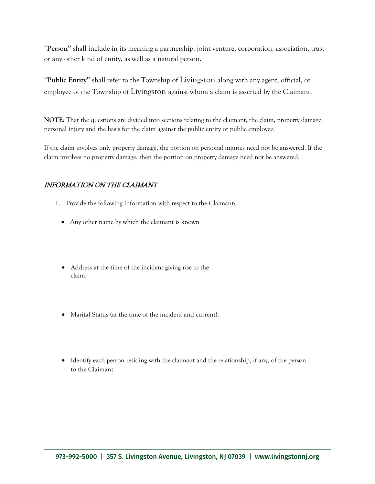"**Person"** shall include in its meaning a partnership, joint venture, corporation, association, trust or any other kind of entity, as well as a natural person.

"**Public Entity"** shall refer to the Township of Livingston along with any agent, official, or employee of the Township of Livingston against whom a claim is asserted by the Claimant.

**NOTE:** That the questions are divided into sections relating to the claimant, the claim, property damage, personal injury and the basis for the claim against the public entity or public employee.

If the claim involves only property damage, the portion on personal injuries need not be answered. If the claim involves no property damage, then the portion on property damage need not be answered.

# INFORMATION ON THE CLAIMANT

- 1. Provide the following information with respect to the Claimant:
	- Any other name by which the claimant is known
	- Address at the time of the incident giving rise to the claim.
	- Marital Status (at the time of the incident and current).
	- Identify each person residing with the claimant and the relationship, if any, of the person to the Claimant.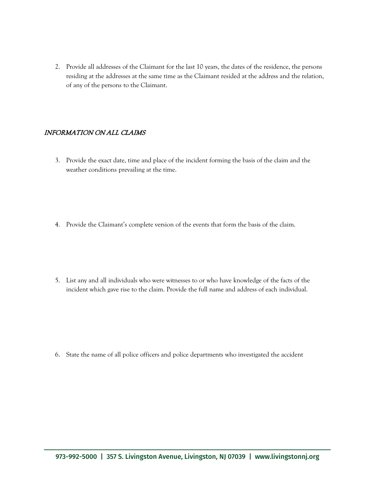2. Provide all addresses of the Claimant for the last 10 years, the dates of the residence, the persons residing at the addresses at the same time as the Claimant resided at the address and the relation, of any of the persons to the Claimant.

### INFORMATION ON ALL CLAIMS

- 3. Provide the exact date, time and place of the incident forming the basis of the claim and the weather conditions prevailing at the time.
- 4. Provide the Claimant's complete version of the events that form the basis of the claim.
- 5. List any and all individuals who were witnesses to or who have knowledge of the facts of the incident which gave rise to the claim. Provide the full name and address of each individual.

6. State the name of all police officers and police departments who investigated the accident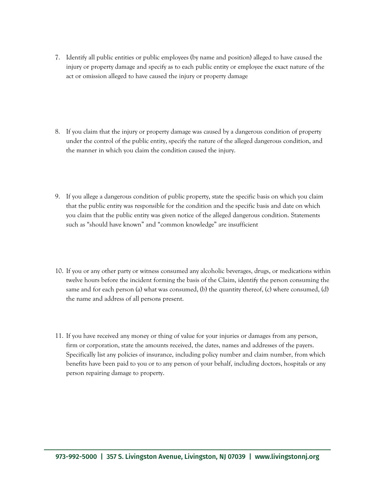- 7. Identify all public entities or public employees (by name and position) alleged to have caused the injury or property damage and specify as to each public entity or employee the exact nature of the act or omission alleged to have caused the injury or property damage
- 8. If you claim that the injury or property damage was caused by a dangerous condition of property under the control of the public entity, specify the nature of the alleged dangerous condition, and the manner in which you claim the condition caused the injury.
- 9. If you allege a dangerous condition of public property, state the specific basis on which you claim that the public entity was responsible for the condition and the specific basis and date on which you claim that the public entity was given notice of the alleged dangerous condition. Statements such as "should have known" and "common knowledge" are insufficient
- 10. If you or any other party or witness consumed any alcoholic beverages, drugs, or medications within twelve hours before the incident forming the basis of the Claim, identify the person consuming the same and for each person (a) what was consumed, (b) the quantity thereof, (c) where consumed, (d) the name and address of all persons present.
- 11. If you have received any money or thing of value for your injuries or damages from any person, firm or corporation, state the amounts received, the dates, names and addresses of the payers. Specifically list any policies of insurance, including policy number and claim number, from which benefits have been paid to you or to any person of your behalf, including doctors, hospitals or any person repairing damage to property.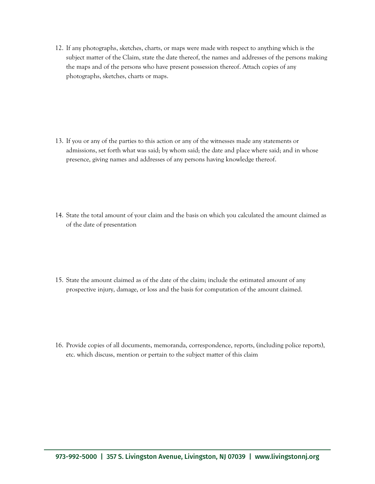12. If any photographs, sketches, charts, or maps were made with respect to anything which is the subject matter of the Claim, state the date thereof, the names and addresses of the persons making the maps and of the persons who have present possession thereof. Attach copies of any photographs, sketches, charts or maps.

- 13. If you or any of the parties to this action or any of the witnesses made any statements or admissions, set forth what was said; by whom said; the date and place where said; and in whose presence, giving names and addresses of any persons having knowledge thereof.
- 14. State the total amount of your claim and the basis on which you calculated the amount claimed as of the date of presentation
- 15. State the amount claimed as of the date of the claim; include the estimated amount of any prospective injury, damage, or loss and the basis for computation of the amount claimed.

16. Provide copies of all documents, memoranda, correspondence, reports, (including police reports), etc. which discuss, mention or pertain to the subject matter of this claim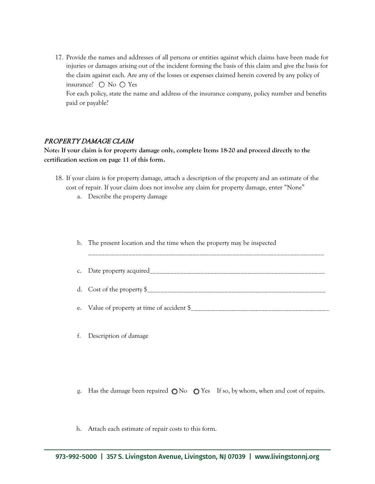17. Provide the names and addresses of all persons or entities against which claims have been made for injuries or damages arising out of the incident forming the basis of this claim and give the basis for the claim against each. Are any of the losses or expenses claimed herein covered by any policy of insurance?  $\bigcirc$  No  $\bigcirc$  Yes For each policy, state the name and address of the insurance company, policy number and benefits paid or payable?

### PROPERTY DAMAGE CLAIM

**Note: If your claim is for property damage only, complete Items 18-20 and proceed directly to the certification section on page 11 of this form.**

- 18. If your claim is for property damage, attach a description of the property and an estimate of the cost of repair. If your claim does not involve any claim for property damage, enter "None"
	- a. Describe the property damage

b. The present location and the time when the property may be inspected

c. Date property acquired\_\_\_\_\_\_\_\_\_\_\_\_\_\_\_\_\_\_\_\_\_\_\_\_\_\_\_\_\_\_\_\_\_\_\_\_\_\_\_\_\_\_\_\_\_\_\_\_\_\_\_\_

\_\_\_\_\_\_\_\_\_\_\_\_\_\_\_\_\_\_\_\_\_\_\_\_\_\_\_\_\_\_\_\_\_\_\_\_\_\_\_\_\_\_\_\_\_\_\_\_\_\_\_\_\_\_\_\_\_\_\_\_\_\_\_\_\_\_\_\_\_\_

d. Cost of the property  $\frac{6}{2}$ 

e. Value of property at time of accident \$\_\_\_\_\_\_\_\_\_\_\_\_\_\_\_\_\_\_\_\_\_\_\_\_\_\_\_\_\_\_\_\_\_\_\_\_\_\_\_\_\_

- f. Description of damage
- g. Has the damage been repaired  $\bigcirc$  No  $\bigcirc$  Yes If so, by whom, when and cost of repairs.
- h. Attach each estimate of repair costs to this form.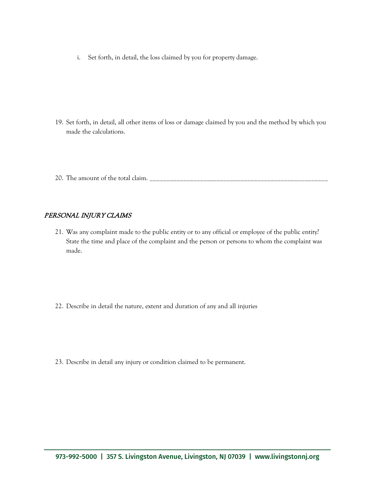i. Set forth, in detail, the loss claimed by you for property damage.

- 19. Set forth, in detail, all other items of loss or damage claimed by you and the method by which you made the calculations.
- 20. The amount of the total claim. \_\_\_\_\_\_\_\_\_\_\_\_\_\_\_\_\_\_\_\_\_\_\_\_\_\_\_\_\_\_\_\_\_\_\_\_\_\_\_\_\_\_\_\_\_\_\_\_\_\_\_\_\_

## PERSONAL INJURY CLAIMS

- 21. Was any complaint made to the public entity or to any official or employee of the public entity? State the time and place of the complaint and the person or persons to whom the complaint was made.
- 22. Describe in detail the nature, extent and duration of any and all injuries
- 23. Describe in detail any injury or condition claimed to be permanent.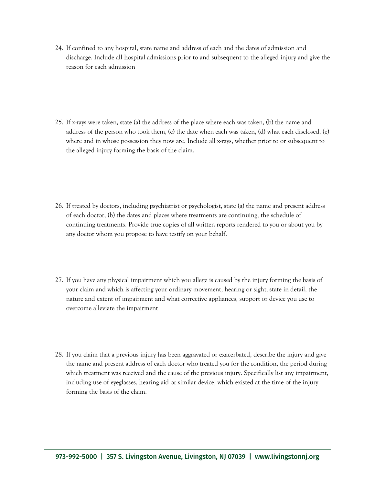24. If confined to any hospital, state name and address of each and the dates of admission and discharge. Include all hospital admissions prior to and subsequent to the alleged injury and give the reason for each admission

- 25. If x-rays were taken, state (a) the address of the place where each was taken, (b) the name and address of the person who took them, (c) the date when each was taken, (d) what each disclosed, (e) where and in whose possession they now are. Include all x-rays, whether prior to or subsequent to the alleged injury forming the basis of the claim.
- 26. If treated by doctors, including psychiatrist or psychologist, state (a) the name and present address of each doctor, (b) the dates and places where treatments are continuing, the schedule of continuing treatments. Provide true copies of all written reports rendered to you or about you by any doctor whom you propose to have testify on your behalf.
- 27. If you have any physical impairment which you allege is caused by the injury forming the basis of your claim and which is affecting your ordinary movement, hearing or sight, state in detail, the nature and extent of impairment and what corrective appliances, support or device you use to overcome alleviate the impairment
- 28. If you claim that a previous injury has been aggravated or exacerbated, describe the injury and give the name and present address of each doctor who treated you for the condition, the period during which treatment was received and the cause of the previous injury. Specifically list any impairment, including use of eyeglasses, hearing aid or similar device, which existed at the time of the injury forming the basis of the claim.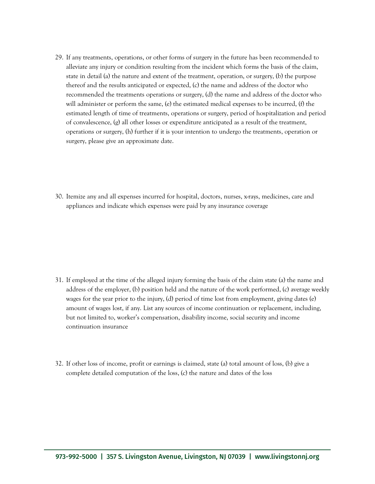29. If any treatments, operations, or other forms of surgery in the future has been recommended to alleviate any injury or condition resulting from the incident which forms the basis of the claim, state in detail (a) the nature and extent of the treatment, operation, or surgery, (b) the purpose thereof and the results anticipated or expected, (c) the name and address of the doctor who recommended the treatments operations or surgery, (d) the name and address of the doctor who will administer or perform the same, (e) the estimated medical expenses to be incurred,  $(f)$  the estimated length of time of treatments, operations or surgery, period of hospitalization and period of convalescence, (g) all other losses or expenditure anticipated as a result of the treatment, operations or surgery, (h) further if it is your intention to undergo the treatments, operation or surgery, please give an approximate date.

30. Itemize any and all expenses incurred for hospital, doctors, nurses, x-rays, medicines, care and appliances and indicate which expenses were paid by any insurance coverage

- 31. If employed at the time of the alleged injury forming the basis of the claim state (a) the name and address of the employer, (b) position held and the nature of the work performed, (c) average weekly wages for the year prior to the injury, (d) period of time lost from employment, giving dates (e) amount of wages lost, if any. List any sources of income continuation or replacement, including, but not limited to, worker's compensation, disability income, social security and income continuation insurance
- 32. If other loss of income, profit or earnings is claimed, state (a) total amount of loss, (b) give a complete detailed computation of the loss, (c) the nature and dates of the loss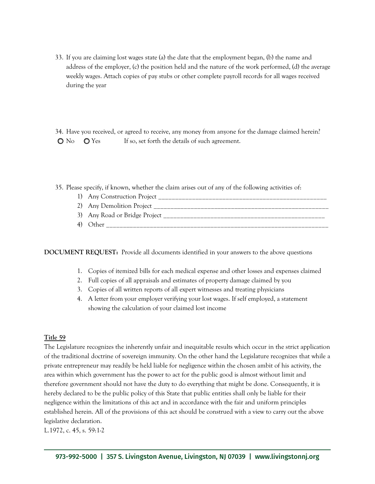33. If you are claiming lost wages state (a) the date that the employment began, (b) the name and address of the employer, (c) the position held and the nature of the work performed, (d) the average weekly wages. Attach copies of pay stubs or other complete payroll records for all wages received during the year

34. Have you received, or agreed to receive, any money from anyone for the damage claimed herein?  $\bigcirc$  No  $\bigcirc$  Yes If so, set forth the details of such agreement.

35. Please specify, if known, whether the claim arises out of any of the following activities of:

| 1) Any Construction Project   |
|-------------------------------|
| 2) Any Demolition Project     |
| 3) Any Road or Bridge Project |
| 4) Other                      |

**DOCUMENT REQUEST:** Provide all documents identified in your answers to the above questions

- 1. Copies of itemized bills for each medical expense and other losses and expenses claimed
- 2. Full copies of all appraisals and estimates of property damage claimed by you
- 3. Copies of all written reports of all expert witnesses and treating physicians
- 4. A letter from your employer verifying your lost wages. If self employed, a statement showing the calculation of your claimed lost income

### **Title 59**

The Legislature recognizes the inherently unfair and inequitable results which occur in the strict application of the traditional doctrine of sovereign immunity. On the other hand the Legislature recognizes that while a private entrepreneur may readily be held liable for negligence within the chosen ambit of his activity, the area within which government has the power to act for the public good is almost without limit and therefore government should not have the duty to do everything that might be done. Consequently, it is hereby declared to be the public policy of this State that public entities shall only be liable for their negligence within the limitations of this act and in accordance with the fair and uniform principles established herein. All of the provisions of this act should be construed with a view to carry out the above legislative declaration.

L.1972, c. 45, s. 59:1-2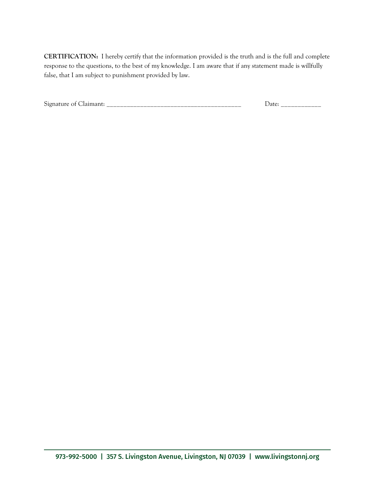**CERTIFICATION:** I hereby certify that the information provided is the truth and is the full and complete response to the questions, to the best of my knowledge. I am aware that if any statement made is willfully false, that I am subject to punishment provided by law.

| $\sim$<br>512. | .<br>___<br>___<br>____ | _______<br>_________ |
|----------------|-------------------------|----------------------|
|                |                         |                      |